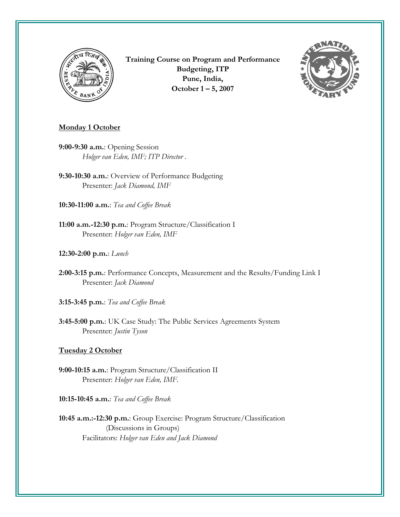

**Training Course on Program and Performance Budgeting, ITP Pune, India, October 1 – 5, 2007**



# **Monday 1 October**

- **9:00-9:30 a.m.**: Opening Session *Holger van Eden, IMF; ITP Director .*
- **9:30-10:30 a.m.**: Overview of Performance Budgeting Presenter: *Jack Diamond, IMF*
- **10:30-11:00 a.m.**: *Tea and Coffee Break*
- **11:00 a.m.-12:30 p.m.**: Program Structure/Classification I Presenter: *Holger van Eden, IMF*
- **12:30-2:00 p.m.**: *Lunch*
- **2:00-3:15 p.m.**: Performance Concepts, Measurement and the Results/Funding Link I Presenter: *Jack Diamond*
- **3:15-3:45 p.m.**: *Tea and Coffee Break*
- **3:45-5:00 p.m.**: UK Case Study: The Public Services Agreements System Presenter: *Justin Tyson*

## **Tuesday 2 October**

- **9:00-10:15 a.m.**: Program Structure/Classification II Presenter: *Holger van Eden, IMF.*
- **10:15-10:45 a.m.**: *Tea and Coffee Break*
- **10:45 a.m.:-12:30 p.m.**: Group Exercise: Program Structure/Classification (Discussions in Groups) Facilitators: *Holger van Eden and Jack Diamond*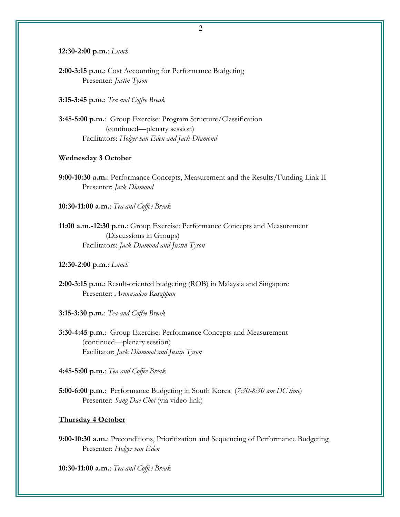**12:30-2:00 p.m.**: *Lunch*

**2:00-3:15 p.m.**: Cost Accounting for Performance Budgeting Presenter: *Justin Tyson*

**3:15-3:45 p.m.**: *Tea and Coffee Break*

**3:45-5:00 p.m.**: Group Exercise: Program Structure/Classification (continued—plenary session) Facilitators: *Holger van Eden and Jack Diamond*

#### **Wednesday 3 October**

**9:00-10:30 a.m.**: Performance Concepts, Measurement and the Results/Funding Link II Presenter: *Jack Diamond* 

**10:30-11:00 a.m.**: *Tea and Coffee Break*

**11:00 a.m.-12:30 p.m.**: Group Exercise: Performance Concepts and Measurement (Discussions in Groups) Facilitators: *Jack Diamond and Justin Tyson*

#### **12:30-2:00 p.m.**: *Lunch*

**2:00-3:15 p.m.**: Result-oriented budgeting (ROB) in Malaysia and Singapore Presenter: *Arunasalem Rasappan*

**3:15-3:30 p.m.**: *Tea and Coffee Break*

**3:30-4:45 p.m.**: Group Exercise: Performance Concepts and Measurement (continued—plenary session) Facilitator: *Jack Diamond and Justin Tyson* 

**4:45-5:00 p.m.**: *Tea and Coffee Break*

**5:00-6:00 p.m.**: Performance Budgeting in South Korea (*7:30-8:30 am DC time*) Presenter: *Sang Dae Choi* (via video-link)

### **Thursday 4 October**

**9:00-10:30 a.m.**: Preconditions, Prioritization and Sequencing of Performance Budgeting Presenter: *Holger van Eden* 

**10:30-11:00 a.m.**: *Tea and Coffee Break*